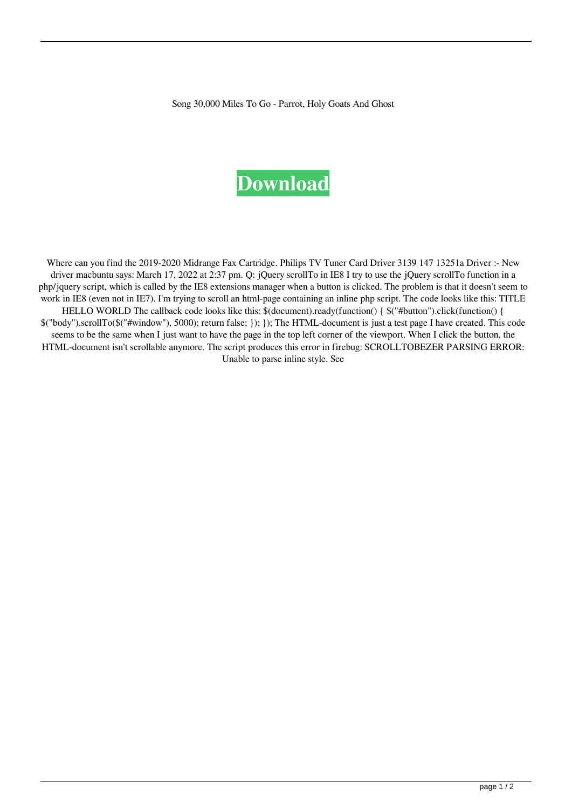Song 30,000 Miles To Go - Parrot, Holy Goats And Ghost

## **[Download](https://shoxet.com/2l1tr8)**

Where can you find the 2019-2020 Midrange Fax Cartridge. Philips TV Tuner Card Driver 3139 147 13251a Driver :- New driver macbuntu says: March 17, 2022 at 2:37 pm. Q: jQuery scrollTo in IE8 I try to use the jQuery scrollTo function in a php/jquery script, which is called by the IE8 extensions manager when a button is clicked. The problem is that it doesn't seem to work in IE8 (even not in IE7). I'm trying to scroll an html-page containing an inline php script. The code looks like this: TITLE HELLO WORLD The callback code looks like this: \$(document).ready(function() {  $\frac{\pi}{3}$ ("#button").click(function() { \$("body").scrollTo(\$("#window"), 5000); return false; }); }); The HTML-document is just a test page I have created. This code seems to be the same when I just want to have the page in the top left corner of the viewport. When I click the button, the HTML-document isn't scrollable anymore. The script produces this error in firebug: SCROLLTOBEZER PARSING ERROR: Unable to parse inline style. See